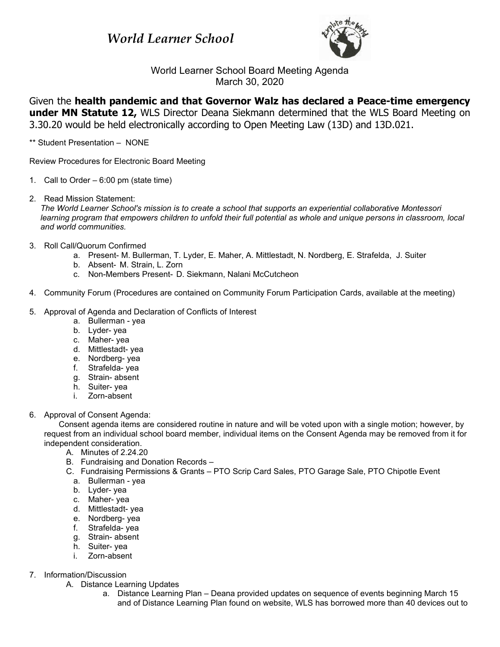## *World Learner School*



World Learner School Board Meeting Agenda March 30, 2020

Given the **health pandemic and that Governor Walz has declared a Peace-time emergency under MN Statute 12,** WLS Director Deana Siekmann determined that the WLS Board Meeting on 3.30.20 would be held electronically according to Open Meeting Law (13D) and 13D.021.

\*\* Student Presentation – NONE

Review Procedures for Electronic Board Meeting

- 1. Call to Order 6:00 pm (state time)
- 2. Read Mission Statement:

*The World Learner School's mission is to create a school that supports an experiential collaborative Montessori learning program that empowers children to unfold their full potential as whole and unique persons in classroom, local and world communities.*

- 3. Roll Call/Quorum Confirmed
	- a. Present- M. Bullerman, T. Lyder, E. Maher, A. Mittlestadt, N. Nordberg, E. Strafelda, J. Suiter
	- b. Absent- M. Strain, L. Zorn
	- c. Non-Members Present- D. Siekmann, Nalani McCutcheon
- 4. Community Forum (Procedures are contained on Community Forum Participation Cards, available at the meeting)
- 5. Approval of Agenda and Declaration of Conflicts of Interest
	- a. Bullerman yea
	- b. Lyder- yea
	- c. Maher- yea
	- d. Mittlestadt- yea
	- e. Nordberg- yea
	- f. Strafelda- yea
	- g. Strain- absent
	- h. Suiter- yea
	- i. Zorn-absent
- 6. Approval of Consent Agenda:

Consent agenda items are considered routine in nature and will be voted upon with a single motion; however, by request from an individual school board member, individual items on the Consent Agenda may be removed from it for independent consideration.

- A. Minutes of 2.24.20
- B. Fundraising and Donation Records –
- C. Fundraising Permissions & Grants PTO Scrip Card Sales, PTO Garage Sale, PTO Chipotle Event
	- a. Bullerman yea
	- b. Lyder- yea
	- c. Maher- yea
	- d. Mittlestadt- yea
	- e. Nordberg- yea
	- f. Strafelda- yea
	- g. Strain- absent
	- h. Suiter- yea
	- i. Zorn-absent
- 7. Information/Discussion
	- A. Distance Learning Updates
		- a. Distance Learning Plan Deana provided updates on sequence of events beginning March 15 and of Distance Learning Plan found on website, WLS has borrowed more than 40 devices out to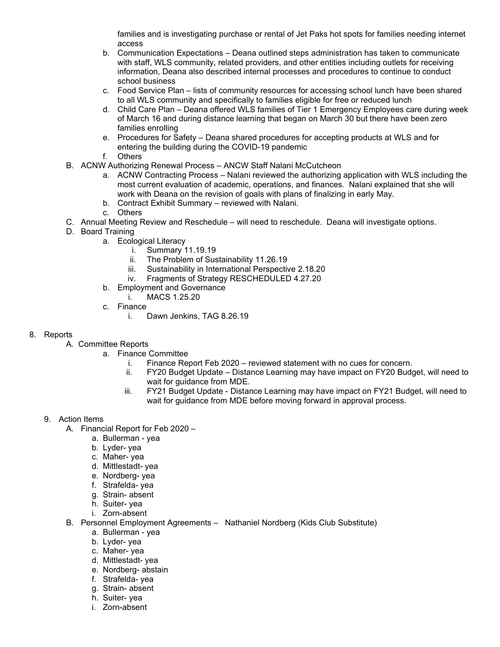families and is investigating purchase or rental of Jet Paks hot spots for families needing internet access

- b. Communication Expectations Deana outlined steps administration has taken to communicate with staff, WLS community, related providers, and other entities including outlets for receiving information, Deana also described internal processes and procedures to continue to conduct school business
- c. Food Service Plan lists of community resources for accessing school lunch have been shared to all WLS community and specifically to families eligible for free or reduced lunch
- d. Child Care Plan Deana offered WLS families of Tier 1 Emergency Employees care during week of March 16 and during distance learning that began on March 30 but there have been zero families enrolling
- e. Procedures for Safety Deana shared procedures for accepting products at WLS and for entering the building during the COVID-19 pandemic
- f. Others
- B. ACNW Authorizing Renewal Process ANCW Staff Nalani McCutcheon
	- a. ACNW Contracting Process Nalani reviewed the authorizing application with WLS including the most current evaluation of academic, operations, and finances. Nalani explained that she will work with Deana on the revision of goals with plans of finalizing in early May.
	- b. Contract Exhibit Summary reviewed with Nalani.
	- c. Others
- C. Annual Meeting Review and Reschedule will need to reschedule. Deana will investigate options.
- D. Board Training
	- a. Ecological Literacy
		- i. Summary 11.19.19
		- ii. The Problem of Sustainability 11.26.19
		- iii. Sustainability in International Perspective 2.18.20
		- iv. Fragments of Strategy RESCHEDULED 4.27.20
		- b. Employment and Governance
			- i. MACS 1.25.20
		- c. Finance
			- i. Dawn Jenkins, TAG 8.26.19

## 8. Reports

- A. Committee Reports
	- a. Finance Committee
		- i. Finance Report Feb 2020 reviewed statement with no cues for concern.<br>ii. FY20 Budget Update Distance Learning may have impact on FY20 Budg
		- FY20 Budget Update Distance Learning may have impact on FY20 Budget, will need to wait for quidance from MDE.
		- iii. FY21 Budget Update Distance Learning may have impact on FY21 Budget, will need to wait for guidance from MDE before moving forward in approval process.

## 9. Action Items

- A. Financial Report for Feb 2020
	- a. Bullerman yea
	- b. Lyder- yea
	- c. Maher- yea
	- d. Mittlestadt- yea
	- e. Nordberg- yea
	- f. Strafelda- yea
	- g. Strain- absent
	- h. Suiter- yea
	- i. Zorn-absent
- B. Personnel Employment Agreements Nathaniel Nordberg (Kids Club Substitute)
	- a. Bullerman yea
	- b. Lyder- yea
	- c. Maher- yea
	- d. Mittlestadt- yea
	- e. Nordberg- abstain
	- f. Strafelda- yea
	- g. Strain- absent
	- h. Suiter- yea
	- i. Zorn-absent